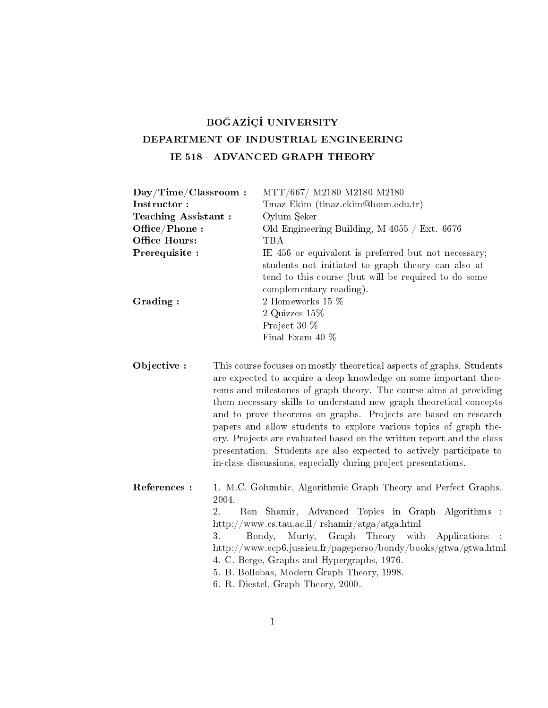## BOĞAZİÇİ UNIVERSITY DEPARTMENT OF INDUSTRIAL ENGINEERING IE 518 - ADVANCED GRAPH THEORY

| Day/Time/Classroom: | MTT/667/ M2180 M2180 M2180                           |
|---------------------|------------------------------------------------------|
| Instructor:         | Tinaz Ekim (tinaz.ekim@boun.edu.tr)                  |
| Teaching Assistant: | Oylum Seker                                          |
| Office/Phone:       | Old Engineering Building, M $4055 /$ Ext. 6676       |
| Office Hours:       | TBA                                                  |
| Prerequisite :      | IE 456 or equivalent is preferred but not necessary; |
|                     | students not initiated to graph theory can also at-  |
|                     | tend to this course (but will be required to do some |
|                     | complementary reading).                              |
| Grading:            | 2 Homeworks 15 %                                     |
|                     | 2 Quizzes $15\%$                                     |
|                     | Project 30 %                                         |
|                     | Final Exam 40 %                                      |
|                     |                                                      |

Objective : This course focuses on mostly theoretical aspects of graphs. Students are expected to acquire a deep knowledge on some important theorems and milestones of graph theory. The course aims at providing them necessary skills to understand new graph theoretical concepts and to prove theorems on graphs. Projects are based on research papers and allow students to explore various topics of graph theory. Projects are evaluated based on the written report and the class presentation. Students are also expected to actively participate to in-class discussions, especially during project presentations.

References : 1. M.C. Golumbic, Algorithmic Graph Theory and Perfect Graphs, 2004. 2. Ron Shamir, Advanced Topics in Graph Algorithms : http://www.cs.tau.ac.il/ rshamir/atga/atga.html 3. Bondy, Murty, Graph Theory with Applications : http://www.ecp6.jussieu.fr/pageperso/bondy/books/gtwa/gtwa.html 4. C. Berge, Graphs and Hypergraphs, 1976. 5. B. Bollobas, Modern Graph Theory, 1998. 6. R. Diestel, Graph Theory, 2000.